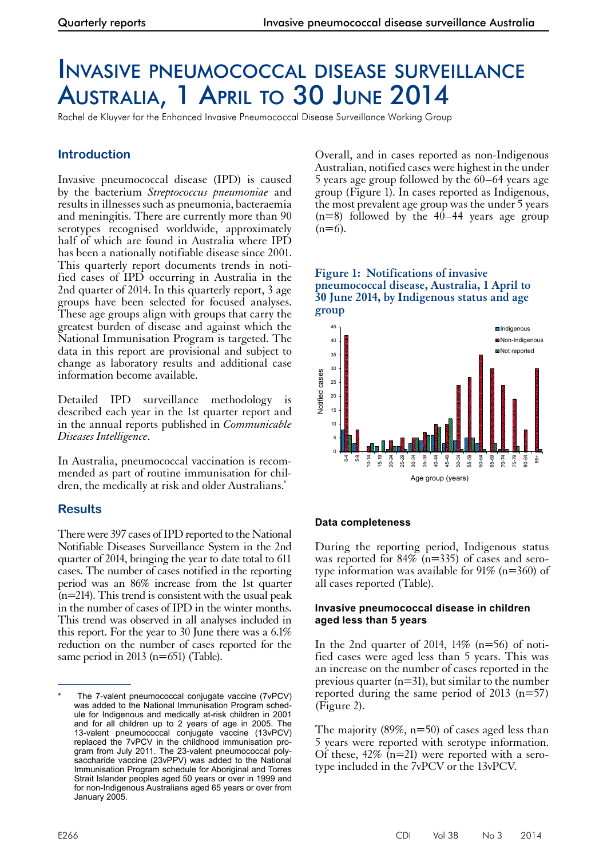# Invasive pneumococcal disease surveillance Australia, 1 April to 30 June 2014

Rachel de Kluyver for the Enhanced Invasive Pneumococcal Disease Surveillance Working Group

# **Introduction**

Invasive pneumococcal disease (IPD) is caused by the bacterium *Streptococcus pneumoniae* and results in illnesses such as pneumonia, bacteraemia and meningitis. There are currently more than 90 serotypes recognised worldwide, approximately half of which are found in Australia where IPD has been a nationally notifiable disease since 2001. This quarterly report documents trends in notified cases of IPD occurring in Australia in the 2nd quarter of 2014. In this quarterly report, 3 age groups have been selected for focused analyses. These age groups align with groups that carry the greatest burden of disease and against which the National Immunisation Program is targeted. The data in this report are provisional and subject to change as laboratory results and additional case information become available.

Detailed IPD surveillance methodology is described each year in the 1st quarter report and in the annual reports published in *Communicable Diseases Intelligence*.

In Australia, pneumococcal vaccination is recommended as part of routine immunisation for children, the medically at risk and older Australians.<sup>\*</sup>

# **Results**

There were 397 cases of IPD reported to the National Notifiable Diseases Surveillance System in the 2nd quarter of 2014, bringing the year to date total to 611 cases. The number of cases notified in the reporting period was an 86% increase from the 1st quarter  $\bar{p}$ (n=214). This trend is consistent with the usual peak in the number of cases of IPD in the winter months. This trend was observed in all analyses included in this report. For the year to 30 June there was a 6.1% reduction on the number of cases reported for the same period in 2013 ( $n=651$ ) (Table).

Overall, and in cases reported as non-Indigenous Australian, notified cases were highest in the under 5 years age group followed by the 60–64 years age group (Figure 1). In cases reported as Indigenous, the most prevalent age group was the under 5 years  $(n=8)$  followed by the 40–44 years age group  $(n=6)$ .

#### **Figure 1: Notifications of invasive pneumococcal disease, Australia, 1 April to 30 June 2014, by Indigenous status and age group**



## **Data completeness**

During the reporting period, Indigenous status was reported for 84% ( $n=335$ ) of cases and sero-<br>type information was available for 91% ( $n=360$ ) of all cases reported (Table).

#### **Invasive pneumococcal disease in children aged less than 5 years**

In the 2nd quarter of 2014,  $14\%$  (n=56) of notified cases were aged less than 5 years. This was an increase on the number of cases reported in the previous quarter (n=31), but similar to the number reported during the same period of 2013 (n=57) (Figure 2).

The majority  $(89\%, n=50)$  of cases aged less than 5 years were reported with serotype information. Of these,  $42\%$  (n=21) were reported with a serotype included in the 7vPCV or the 13vPCV.

The 7-valent pneumococcal conjugate vaccine (7vPCV) was added to the National Immunisation Program schedule for Indigenous and medically at-risk children in 2001 and for all children up to 2 years of age in 2005. The 13-valent pneumococcal conjugate vaccine (13vPCV) replaced the 7vPCV in the childhood immunisation program from July 2011. The 23-valent pneumococcal polysaccharide vaccine (23vPPV) was added to the National Immunisation Program schedule for Aboriginal and Torres Strait Islander peoples aged 50 years or over in 1999 and for non-Indigenous Australians aged 65 years or over from January 2005.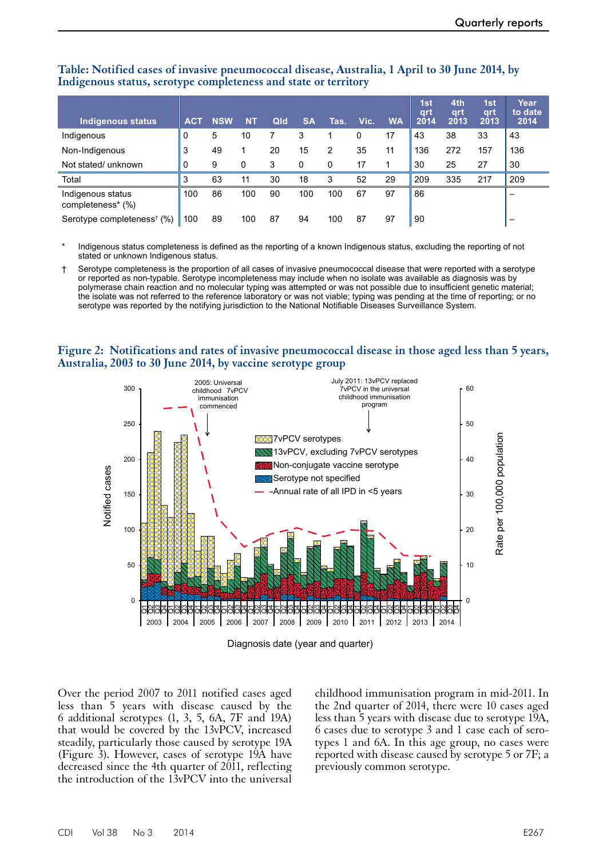| <b>Indigenous status</b>                  | <b>ACT</b> | <b>NSW</b> | ΝT  | Qld | <b>SA</b> | Tas. | Vic. | <b>WA</b> | 1st<br>qrt<br>2014 | 4th<br>qrt<br>2013 | 1st<br><b>grt</b><br>2013 | Year<br>to date<br>2014 |
|-------------------------------------------|------------|------------|-----|-----|-----------|------|------|-----------|--------------------|--------------------|---------------------------|-------------------------|
| Indigenous                                | 0          | 5          | 10  |     | 3         |      | 0    | 17        | 43                 | 38                 | 33                        | 43                      |
| Non-Indigenous                            | 3          | 49         | 1   | 20  | 15        | 2    | 35   | 11        | 136                | 272                | 157                       | 136                     |
| Not stated/ unknown                       | 0          | 9          | 0   | 3   | 0         | 0    | 17   |           | 30                 | 25                 | 27                        | 30                      |
| Total                                     | 3          | 63         | 11  | 30  | 18        | 3    | 52   | 29        | 209                | 335                | 217                       | 209                     |
| Indigenous status<br>completeness* (%)    | 100        | 86         | 100 | 90  | 100       | 100  | 67   | 97        | 86                 |                    |                           |                         |
| Serotype completeness <sup>†</sup><br>(%) | 100        | 89         | 100 | 87  | 94        | 100  | 87   | 97        | 90                 |                    |                           |                         |

#### **Table: Notified cases of invasive pneumococcal disease, Australia, 1 April to 30 June 2014, by Indigenous status, serotype completeness and state or territory**

Indigenous status completeness is defined as the reporting of a known Indigenous status, excluding the reporting of not stated or unknown Indigenous status.

† Serotype completeness is the proportion of all cases of invasive pneumococcal disease that were reported with a serotype or reported as non-typable. Serotype incompleteness may include when no isolate was available as diagnosis was by polymerase chain reaction and no molecular typing was attempted or was not possible due to insufficient genetic material; the isolate was not referred to the reference laboratory or was not viable; typing was pending at the time of reporting; or no serotype was reported by the notifying jurisdiction to the National Notifiable Diseases Surveillance System.

#### **Figure 2: Notifications and rates of invasive pneumococcal disease in those aged less than 5 years, Australia, 2003 to 30 June 2014, by vaccine serotype group**



Diagnosis date (year and quarter)

Over the period 2007 to 2011 notified cases aged less than 5 years with disease caused by the 6 additional serotypes (1, 3, 5, 6A, 7F and 19A) that would be covered by the 13vPCV, increased steadily, particularly those caused by serotype 19A (Figure 3). However, cases of serotype 19A have decreased since the 4th quarter of 2011, reflecting the introduction of the 13vPCV into the universal

childhood immunisation program in mid-2011. In the 2nd quarter of 2014, there were 10 cases aged less than  $\bar{5}$  years with disease due to serotype 19A, 6 cases due to serotype 3 and 1 case each of serotypes 1 and 6A. In this age group, no cases were reported with disease caused by serotype 5 or 7F; a previously common serotype.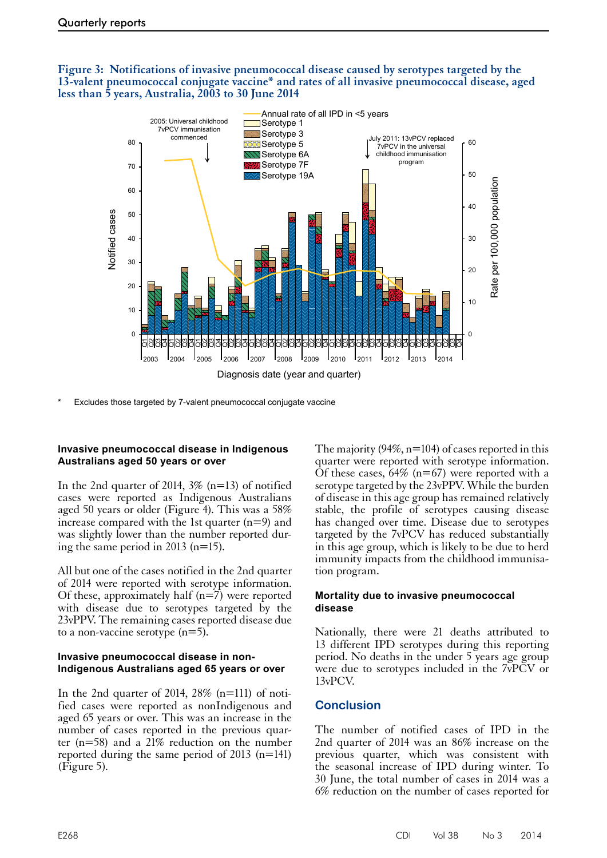#### **Figure 3: Notifications of invasive pneumococcal disease caused by serotypes targeted by the 13-valent pneumococcal conjugate vaccine\* and rates of all invasive pneumococcal disease, aged less than 5 years, Australia, 2003 to 30 June 2014**



Excludes those targeted by 7-valent pneumococcal conjugate vaccine

#### **Invasive pneumococcal disease in Indigenous Australians aged 50 years or over**

In the 2nd quarter of 2014,  $3\%$  (n=13) of notified cases were reported as Indigenous Australians aged 50 years or older (Figure 4). This was a 58% increase compared with the 1st quarter  $(n=9)$  and was slightly lower than the number reported during the same period in 2013 (n=15).

All but one of the cases notified in the 2nd quarter of 2014 were reported with serotype information. Of these, approximately half  $(n=7)$  were reported with disease due to serotypes targeted by the 23vPPV. The remaining cases reported disease due to a non-vaccine serotype (n=5).

#### **Invasive pneumococcal disease in non-Indigenous Australians aged 65 years or over**

In the 2nd quarter of 2014, 28% (n=111) of noti-<br>fied cases were reported as nonIndigenous and aged 65 years or over. This was an increase in the number of cases reported in the previous quar-<br>ter  $(n=58)$  and a 21% reduction on the number reported during the same period of 2013 (n=141) (Figure 5).

The majority  $(94\%, n=104)$  of cases reported in this quarter were reported with serotype information. Of these cases,  $64\%$  (n=67) were reported with a serotype targeted by the 23vPPV. While the burden of disease in this age group has remained relatively stable, the profile of serotypes causing disease has changed over time. Disease due to serotypes targeted by the 7vPCV has reduced substantially in this age group, which is likely to be due to herd immunity impacts from the childhood immunisa-<br>tion program.

#### **Mortality due to invasive pneumococcal disease**

Nationally, there were 21 deaths attributed to 13 different IPD serotypes during this reporting period. No deaths in the under 5 years age group were due to serotypes included in the 7vPCV or 13vPCV.

#### **Conclusion**

The number of notified cases of IPD in the 2nd quarter of 2014 was an 86% increase on the previous quarter, which was consistent with the seasonal increase of IPD during winter. To 30 June, the total number of cases in 2014 was a 6% reduction on the number of cases reported for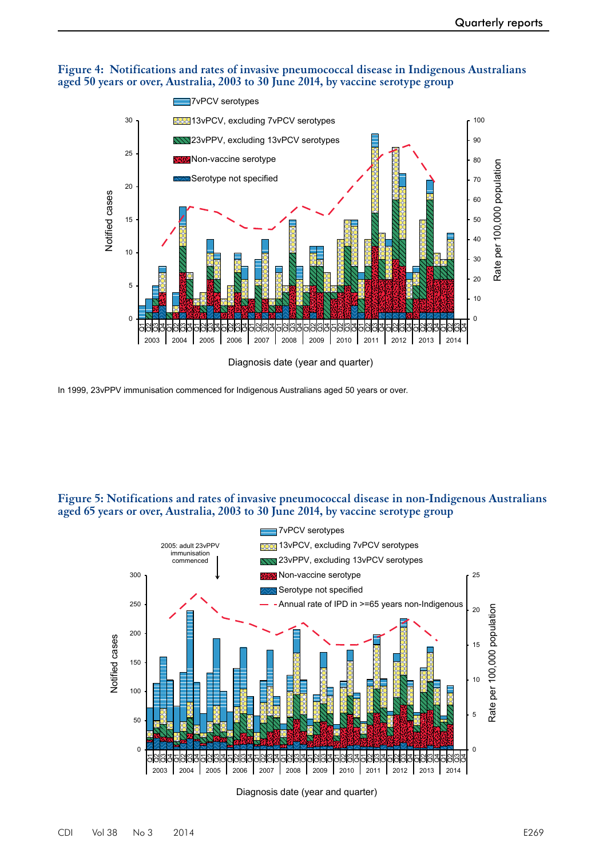#### **Figure 4: Notifications and rates of invasive pneumococcal disease in Indigenous Australians aged 50 years or over, Australia, 2003 to 30 June 2014, by vaccine serotype group**



In 1999, 23vPPV immunisation commenced for Indigenous Australians aged 50 years or over.

#### **Figure 5: Notifications and rates of invasive pneumococcal disease in non-Indigenous Australians aged 65 years or over, Australia, 2003 to 30 June 2014, by vaccine serotype group**



Diagnosis date (year and quarter)